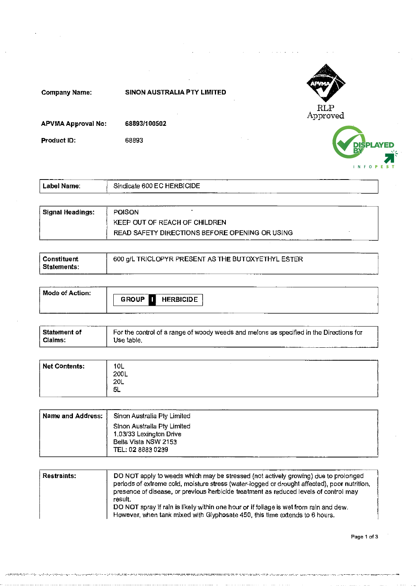

| ⊦Name:<br>_abel : | ___________<br>_____<br>Sindicate 600 EC HERBICIDE<br>-------- |  |
|-------------------|----------------------------------------------------------------|--|
|                   |                                                                |  |

| Signal Headings: | <b>POISON</b>                                  |
|------------------|------------------------------------------------|
|                  | KEEP OUT OF REACH OF CHILDREN                  |
|                  | READ SAFETY DIRECTIONS BEFORE OPENING OR USING |

| Constituent   | 600 g/L TRICLOPYR PRESENT AS THE BUTOXYETHYL ESTER |  |
|---------------|----------------------------------------------------|--|
| l Statements: |                                                    |  |

| Mode of Action: | <b>GROUP I</b> HERBICIDE |  |
|-----------------|--------------------------|--|
|                 |                          |  |

| l Statement of | For the control of a range of woody weeds and melons as specified in the Directions for |
|----------------|-----------------------------------------------------------------------------------------|
| l Claims:      | Use table.                                                                              |

| Net Contents: | 10L<br>200L<br><b>20L</b> | ----<br>______________ |
|---------------|---------------------------|------------------------|
|               | 5L                        |                        |

| l Name and Address: I | Sinon Australia Pty Limited                                                                         |
|-----------------------|-----------------------------------------------------------------------------------------------------|
|                       | Sinon Australia Pty Limited<br>1.03/33 Lexington Drive<br>Bella Vista NSW 2153<br>TEL. 02 8883 0239 |

| Restraints: | DO NOT apply to weeds which may be stressed (not actively growing) due to prolonged<br>periods of extreme cold, moisture stress (water-logged or drought affected), poor nutrition,<br>presence of disease, or previous herbicide treatment as reduced levels of control may<br>result.<br>DO NOT spray if rain is likely within one hour or if foliage is wet from rain and dew.<br>However, when tank mixed with Glyphosate 450, this time extends to 6 hours. |
|-------------|------------------------------------------------------------------------------------------------------------------------------------------------------------------------------------------------------------------------------------------------------------------------------------------------------------------------------------------------------------------------------------------------------------------------------------------------------------------|
|             |                                                                                                                                                                                                                                                                                                                                                                                                                                                                  |

**Page 1 of 3**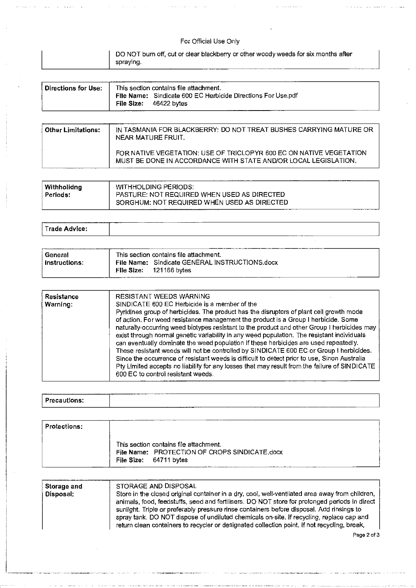#### For Official Use Only

| $\mu$ DO NOT burn off, cut or clear blackberry or other woody weeds for six months after<br>spraying. |  |
|-------------------------------------------------------------------------------------------------------|--|
|                                                                                                       |  |

| ∫ Directions for Use: ⊹ | This section contains file attachment.                                                   |  |
|-------------------------|------------------------------------------------------------------------------------------|--|
|                         | File Name: Sindicate 600 EC Herbicide Directions For Use.pdf<br>File Size: $46422$ bytes |  |

| <b>Other Limitations:</b> | IN TASMANIA FOR BLACKBERRY: DO NOT TREAT BUSHES CARRYING MATURE OR<br>NEAR MATURE FRUIT.                                               |
|---------------------------|----------------------------------------------------------------------------------------------------------------------------------------|
|                           | FOR NATIVE VEGETATION: USE OF TRICLOPYR 600 EC ON NATIVE VEGETATION<br>MUST BE DONE IN ACCORDANCE WITH STATE AND/OR LOCAL LEGISLATION. |

| Withholidng     | WITHHOLDING PERIODS:                               |
|-----------------|----------------------------------------------------|
| <b>Periods:</b> | <b>PASTURE: NOT REQUIRED WHEN USED AS DIRECTED</b> |
|                 | SORGHUM: NOT REQUIRED WHEN USED AS DIRECTED        |

| нсе |       | --------<br>_______<br>. <b>.</b> |
|-----|-------|-----------------------------------|
|     | irad. |                                   |

| General       | This section contains file attachment. |                                                                |  |  |
|---------------|----------------------------------------|----------------------------------------------------------------|--|--|
| ⊟nstructions: | File Size:                             | File Name: Sindicate GENERAL INSTRUCTIONS.docx<br>121166 bvtes |  |  |

| <b>RESISTANT WEEDS WARNING</b><br><b>Resistance</b><br>SINDICATE 600 EC Herbicide is a member of the<br>Warning:<br>Pyridines group of herbicides. The product has the disruptors of plant cell growth mode<br>of action. For weed resistance management the product is a Group I herbicide. Some<br>naturally-occurring weed biotypes resistant to the product and other Group I herbicides may<br>exist through normal genetic variability in any weed population. The resistant individuals<br>can eventually dominate the weed population if these herbicides are used repeatedly.<br>These resistant weeds will not be controlled by SINDICATE 600 EC or Group I herbicides.<br>Since the occurrence of resistant weeds is difficult to detect prior to use, Sinon Australia<br>Pty Limited accepts no liability for any losses that may result from the failure of SINDICATE<br>600 EC to control resistant weeds. |  |
|--------------------------------------------------------------------------------------------------------------------------------------------------------------------------------------------------------------------------------------------------------------------------------------------------------------------------------------------------------------------------------------------------------------------------------------------------------------------------------------------------------------------------------------------------------------------------------------------------------------------------------------------------------------------------------------------------------------------------------------------------------------------------------------------------------------------------------------------------------------------------------------------------------------------------|--|
|--------------------------------------------------------------------------------------------------------------------------------------------------------------------------------------------------------------------------------------------------------------------------------------------------------------------------------------------------------------------------------------------------------------------------------------------------------------------------------------------------------------------------------------------------------------------------------------------------------------------------------------------------------------------------------------------------------------------------------------------------------------------------------------------------------------------------------------------------------------------------------------------------------------------------|--|

## I **Precautions:**

| <b>Protections:</b> |                                                                                                                   |
|---------------------|-------------------------------------------------------------------------------------------------------------------|
|                     | This section contains file attachment.<br>File Name: PROTECTION OF CROPS SINDICATE.docx<br>File Size: 64711 bytes |

| sunlight. Triple or preferably pressure rinse containers before disposal. Add rinsings to<br>spray tank. DO NOT dispose of undiluted chemicals on-site. If recycling, replace cap and<br>return clean containers to recycler or designated collection point, if not recycling, break, | Storage and<br>Disposal: | STORAGE AND DISPOSAL<br>Store in the closed original container in a dry, cool, well-ventilated area away from children,<br>animals, food, feedstuffs, seed and fertilisers. DO NOT store for prolonged periods in direct |
|---------------------------------------------------------------------------------------------------------------------------------------------------------------------------------------------------------------------------------------------------------------------------------------|--------------------------|--------------------------------------------------------------------------------------------------------------------------------------------------------------------------------------------------------------------------|
|---------------------------------------------------------------------------------------------------------------------------------------------------------------------------------------------------------------------------------------------------------------------------------------|--------------------------|--------------------------------------------------------------------------------------------------------------------------------------------------------------------------------------------------------------------------|

**Page** 2 of 3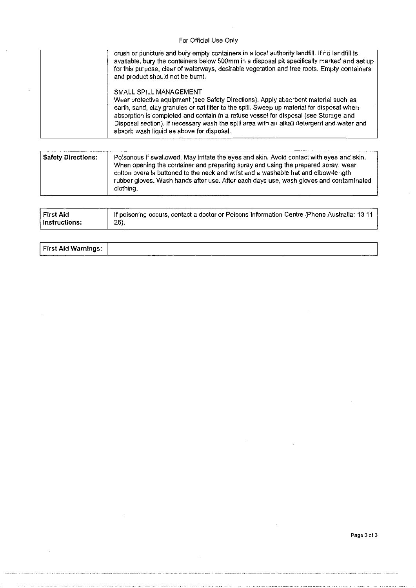#### For Official Use Only

| crush or puncture and bury empty containers in a local authority landfill. If no landfill is<br>available, bury the containers below 500mm in a disposal pit specifically marked and set up<br>for this purpose, clear of waterways, desirable vegetation and tree roots. Empty containers<br>and product should not be burnt.                                                                                                                 |
|------------------------------------------------------------------------------------------------------------------------------------------------------------------------------------------------------------------------------------------------------------------------------------------------------------------------------------------------------------------------------------------------------------------------------------------------|
| SMALL SPILL MANAGEMENT<br>Wear protective equipment (see Safety Directions). Apply absorbent material such as<br>earth, sand, clay granules or cat litter to the spill. Sweep up material for disposal when<br>absorption is completed and contain in a refuse vessel for disposal (see Storage and<br>Disposal section). If necessary wash the spill area with an alkali detergent and water and<br>absorb wash liquid as above for disposal. |

| <b>Safety Directions:</b> | Poisonous if swallowed. May irritate the eyes and skin. Avoid contact with eyes and skin.<br>When opening the container and preparing spray and using the prepared spray, wear<br>cotton overalls buttoned to the neck and wrist and a washable hat and elbow-length<br>rubber gloves. Wash hands after use. After each days use, wash gloves and contaminated<br>clothing. |
|---------------------------|-----------------------------------------------------------------------------------------------------------------------------------------------------------------------------------------------------------------------------------------------------------------------------------------------------------------------------------------------------------------------------|
|---------------------------|-----------------------------------------------------------------------------------------------------------------------------------------------------------------------------------------------------------------------------------------------------------------------------------------------------------------------------------------------------------------------------|

| First Aid     | If poisoning occurs, contact a doctor or Poisons Information Centre (Phone Australia: 13 11 |
|---------------|---------------------------------------------------------------------------------------------|
| Instructions: | 26).                                                                                        |

| First Aid Warnings:                                                                                                                                                                                                                  |  |
|--------------------------------------------------------------------------------------------------------------------------------------------------------------------------------------------------------------------------------------|--|
| $\blacksquare$ . The contract of the contract of the contract of the contract of the contract of the contract of the contract of the contract of the contract of the contract of the contract of the contract of the contract of the |  |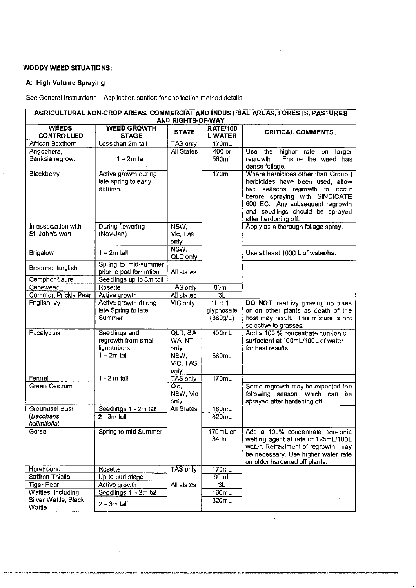#### **WOODY WEED SITUATIONS:**

### **A: High Volume Spraying**

See General Instructions - Application section for application method details

| AGRICULTURAL NON-CROP AREAS, COMMERCIAL AND INDUSTRIAL AREAS, FORESTS, PASTURES<br>AND RIGHTS-OF-WAY |                                                         |                           |                                  |                                                                                                                                                                                                                                          |  |  |
|------------------------------------------------------------------------------------------------------|---------------------------------------------------------|---------------------------|----------------------------------|------------------------------------------------------------------------------------------------------------------------------------------------------------------------------------------------------------------------------------------|--|--|
| <b>WEEDS</b><br><b>CONTROLLED</b>                                                                    | <b>WEED GROWTH</b><br><b>STAGE</b>                      | <b>STATE</b>              | <b>RATE/100</b><br><b>LWATER</b> | <b>CRITICAL COMMENTS</b>                                                                                                                                                                                                                 |  |  |
| African Boxthorn                                                                                     | Less than 2m tall                                       | TAS only                  | 170mL                            |                                                                                                                                                                                                                                          |  |  |
| Angophora,                                                                                           |                                                         | All States                | 400 or                           | higher rate<br>Use.<br>the<br><b>оп</b><br>larger                                                                                                                                                                                        |  |  |
| Banksia regrowth                                                                                     | $1 - 2m$ tall                                           |                           | 560mL                            | Ensure the weed has<br>regrowth.<br>dense foliage.                                                                                                                                                                                       |  |  |
| Blackberry                                                                                           | Active growth during<br>late spring to early<br>autumn. |                           | 170mL                            | Where herbicides other than Group 1<br>herbicides have been used, allow<br>two seasons regrowth to occur<br>before spraying with SINDICATE<br>600 EC. Any subsequent regrowth<br>and seedlings should be sprayed<br>after hardening off. |  |  |
| In association with<br>St. John's wort                                                               | During flowering<br>(Nov-Jan)                           | NSW,<br>Vic, Tas<br>oπly∶ |                                  | Apply as a thorough foliage spray.                                                                                                                                                                                                       |  |  |
| Brigalow                                                                                             | $1 - 2m$ tall                                           | NSW,<br>QLD only          |                                  | Use at least 1000 L of water/ha.                                                                                                                                                                                                         |  |  |
| Brooms: English                                                                                      | Spring to mid-summer<br>prior to pod formation          | All states                |                                  |                                                                                                                                                                                                                                          |  |  |
| Camphor Laurel<br>Capeweed                                                                           | Seedlings up to 3m tall                                 |                           |                                  |                                                                                                                                                                                                                                          |  |  |
|                                                                                                      | Rosette<br>Active growth                                | TAS only<br>All states    | 80mL<br>$\overline{3L}$          |                                                                                                                                                                                                                                          |  |  |
| Common Prickly Pear<br>English Ivy                                                                   | Active growth during                                    | VIC only                  | $1L + 1L$                        | DO NOT treat ivy growing up trees                                                                                                                                                                                                        |  |  |
|                                                                                                      | late Spring to late<br>Summer                           |                           | glyphosate<br>(360g/L)           | or on other plants as death of the<br>host may result. This mixture is not<br>selective to grasses.                                                                                                                                      |  |  |
| Eucalyptus                                                                                           | Seedlings and<br>regrowth from small<br>lignotubers     | QLD, SA<br>WA NT<br>only  | 400mL                            | Add a 100 % concentrate non-ionic<br>surfactant at 100mL/100L of water<br>for best results.                                                                                                                                              |  |  |
|                                                                                                      | $1 - 2m$ tall                                           | NSW,<br>VIC, TAS<br>only  | 560mL                            |                                                                                                                                                                                                                                          |  |  |
| Fennel                                                                                               | $1 - 2$ m tall                                          | TAS only                  | 170mL                            |                                                                                                                                                                                                                                          |  |  |
| Green Cestrum                                                                                        |                                                         | Qd,<br>NSW, Vic<br>only   |                                  | Some regrowth may be expected the<br>following season, which can be<br>sprayed after hardening off.                                                                                                                                      |  |  |
| Groundsel Bush                                                                                       | Seedlings 1 - 2m tall                                   | All States                | 160mL                            |                                                                                                                                                                                                                                          |  |  |
| (Baccharis<br>halimifolia)                                                                           | $2 - 3m$ tall                                           |                           | 320mL                            |                                                                                                                                                                                                                                          |  |  |
| Gorse                                                                                                | Spring to mid Summer                                    |                           | 170mL or<br>340mL                | Add a 100% concentrate non-ionic<br>wetting agent at rate of 125mL/100L<br>water. Retreatment of regrowth may<br>be necessary. Use higher water rate<br>on older hardened off plants.                                                    |  |  |
| Horehound                                                                                            | Rosette                                                 | TAS only                  | 170mL                            |                                                                                                                                                                                                                                          |  |  |
| Saffron Thistle                                                                                      | Up to bud stage                                         |                           | 80mL                             |                                                                                                                                                                                                                                          |  |  |
| <b>Tiger Pear</b>                                                                                    | Active growth                                           | All states                | 3L                               |                                                                                                                                                                                                                                          |  |  |
| Wattles, including                                                                                   | Seedlings 1 - 2m tall                                   |                           | 160mL                            |                                                                                                                                                                                                                                          |  |  |
| Silver Wattle, Black<br>Wattle                                                                       | $2 - 3m$ tall                                           | $\blacksquare$            | 320mL                            |                                                                                                                                                                                                                                          |  |  |

rovoor<del>n</del>o

messa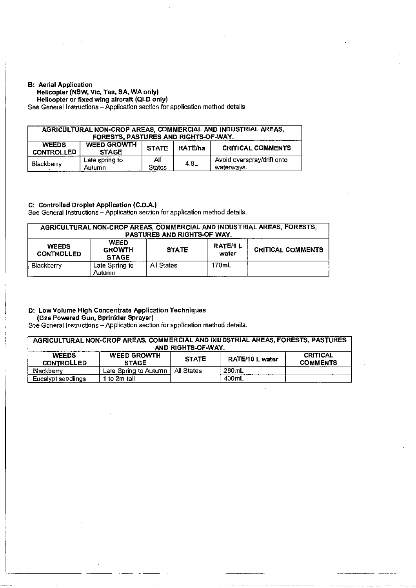#### B: Aerial Application

#### Helicopter (NSW, Vic, Tas, SA, WA only)

Helicopter or fixed wing aircraft (QLD only)

See General Instructions- Application section for application method details

| AGRICULTURAL NON-CROP AREAS, COMMERCIAL AND INDUSTRIAL AREAS,<br>FORESTS, PASTURES AND RIGHTS-OF-WAY. |                                                                                           |                      |      |                                          |  |  |
|-------------------------------------------------------------------------------------------------------|-------------------------------------------------------------------------------------------|----------------------|------|------------------------------------------|--|--|
| <b>WEEDS</b><br><b>CONTROLLED</b>                                                                     | <b>WEED GROWTH</b><br><b>CRITICAL COMMENTS</b><br>RATE/ha<br><b>STATE</b><br><b>STAGE</b> |                      |      |                                          |  |  |
| Blackberry                                                                                            | Late spring to<br>Autumn                                                                  | All<br><b>States</b> | 4.8L | Avoid overspray/drift onto<br>waterways. |  |  |

#### C: Controlled Droplet Application (C.D.A.)

See General Instructions- Application section for application method details.

| AGRICULTURAL NON-CROP AREAS, COMMERCIAL AND INDUSTRIAL AREAS, FORESTS,<br>PASTURES AND RIGHTS-OF WAY. |                                                                                                                     |            |       |  |  |  |
|-------------------------------------------------------------------------------------------------------|---------------------------------------------------------------------------------------------------------------------|------------|-------|--|--|--|
| <b>WEEDS</b><br><b>CONTROLLED</b>                                                                     | <b>WEED</b><br><b>RATE/1L</b><br><b>CRITICAL COMMENTS</b><br><b>STATE</b><br><b>GROWTH</b><br>water<br><b>STAGE</b> |            |       |  |  |  |
| Blackberry                                                                                            | Late Spring to<br>Autumn.                                                                                           | All States | 170mL |  |  |  |

#### D: Low Volume High Concentrate Application Techniques (Gas Powered Gun, Sprinkler Sprayer)

See General Instructions- Application section for application method details.

| AGRICULTURAL NON-CROP AREAS, COMMERCIAL AND INUDSTRIAL AREAS, FORESTS, PASTURES<br>AND RIGHTS-OF-WAY. |                                    |              |                 |                                    |
|-------------------------------------------------------------------------------------------------------|------------------------------------|--------------|-----------------|------------------------------------|
| <b>WEEDS</b><br><b>CONTROLLED</b>                                                                     | <b>WEED GROWTH</b><br><b>STAGE</b> | <b>STATE</b> | RATE/10 L water | <b>CRITICAL</b><br><b>COMMENTS</b> |
| Blackberry                                                                                            | Late Spring to Autumn              | All States   | $280$ mL        |                                    |
| Eucalypt seedlings                                                                                    | 1 to 2m tall                       |              | $400$ mL        |                                    |

 $\ddot{\phantom{a}}$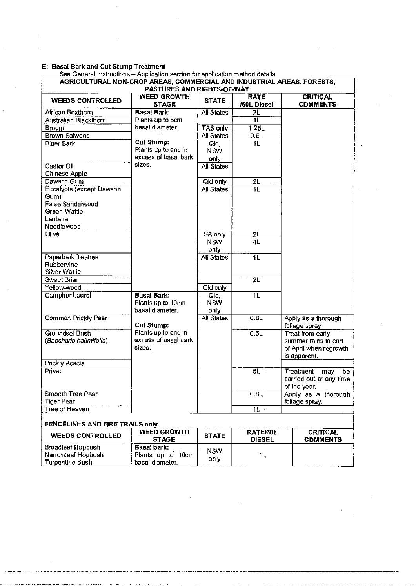|                                                                                               | AGRICULTURAL NDN-CROP AREAS, COMMERCIAL AND INDUSTRIAL AREAS, FORESTS, |                             |                |                                                                                   |
|-----------------------------------------------------------------------------------------------|------------------------------------------------------------------------|-----------------------------|----------------|-----------------------------------------------------------------------------------|
|                                                                                               | PASTURES AND RIGHTS-OF-WAY.<br><b>WEED GROWTH</b>                      |                             | <b>RATE</b>    | <b>CRITICAL</b>                                                                   |
| <b>WEEDS CONTROLLED</b>                                                                       | <b>STAGE</b>                                                           | <b>STATE</b>                | /60L Diesel    | <b>CDMMENTS</b>                                                                   |
| African Boxthom                                                                               | Basal Bark:                                                            | All States                  | 2L             |                                                                                   |
| Australian Blackthorn                                                                         | Plants up to 5cm                                                       |                             | 1L             |                                                                                   |
| Broom                                                                                         | basal diameter.                                                        | TAS only                    | 1.25L          |                                                                                   |
| Brown Salwood                                                                                 |                                                                        | <b>All States</b>           | 0.5L           |                                                                                   |
| Bitter Bark                                                                                   | Cut Stump:<br>Plants up to and in<br>excess of basal bark              | Qld<br><b>NSW</b><br>only   | 1L             |                                                                                   |
| Castor Oil<br>Chinese Apple                                                                   | sizes.                                                                 | <b>All States</b>           |                |                                                                                   |
| Dawson Gum                                                                                    |                                                                        | Old only                    | 2L             |                                                                                   |
| Eucalypts (except Dawson<br>Gum)<br>False Sandalwood<br>Green Wattle<br>Lantana<br>Needlewood |                                                                        | <b>All States</b>           | 1L             |                                                                                   |
| <b>Olive</b>                                                                                  |                                                                        | SA only                     | 2L             |                                                                                   |
|                                                                                               |                                                                        | <b>NSW</b><br>only          | 4L             |                                                                                   |
| Paperbark Teatree<br>Rubbervine<br>Silver Wattle                                              |                                                                        | All States                  | 1L             |                                                                                   |
| Sweet Briar                                                                                   |                                                                        |                             | 2L             |                                                                                   |
| Yellow-wood                                                                                   |                                                                        | Old only                    |                |                                                                                   |
| Camphor Laurel                                                                                | <b>Basal Bark:</b><br>Plants up to 10cm<br>basal diameter.             | Qld,<br><b>NSW</b><br>only. | $\overline{1}$ |                                                                                   |
| Common Prickly Pear                                                                           | Cut Stump:                                                             | <b>All States</b>           | 0.8L           | Apply as a thorough<br>foliage spray                                              |
| Groundsel Bush<br>(Baccharis halimifolia)                                                     | Plants up to and in<br>excess of basal bark<br>sizes.                  |                             | 0.5L           | Treat from early<br>summer rains to end<br>of April when regrowth<br>is apparent. |
| Prickly Acacia                                                                                |                                                                        |                             |                |                                                                                   |
| Privet                                                                                        |                                                                        |                             | 5L             | Treatment<br>be<br>may<br>carried out at any time<br>of the year.                 |
| Smooth Tree Pear<br><b>Tiger Pear</b>                                                         |                                                                        |                             | 0.8L           | Apply as a thorough<br>foliage spray.                                             |
| Tree of Heaven                                                                                |                                                                        |                             | $1L -$         |                                                                                   |
| FENCELINES AND FIRE TRAILS only                                                               |                                                                        |                             |                |                                                                                   |
|                                                                                               | <b>WEED GROWTH</b>                                                     |                             | RATE/60L       | <b>CRITICAL</b>                                                                   |

| <b>WEEDS CONTROLLED</b> | <b>WEED GROWTH</b><br><b>STAGE</b> | <b>STATE</b> | <b>RATE/60L</b><br><b>DIESEL</b> | CRITICAL<br><b>CDMMENTS</b> |
|-------------------------|------------------------------------|--------------|----------------------------------|-----------------------------|
| Broadleaf Hopbush       | Basal bark:                        | <b>NSW</b>   |                                  |                             |
| Narrowleaf Hopbush      | , Plants up to<br>10cm             |              |                                  |                             |
| Turpentine Bush         | basal diameter.                    | only         |                                  |                             |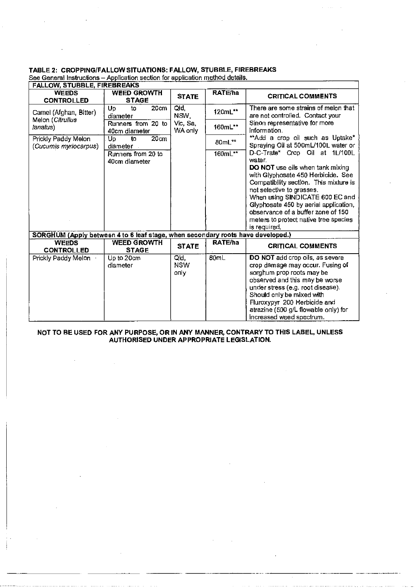# **TABLE 2: CROPPING/FALLOW SITUATIONS: FALLOW, STUBBLE, FIREBREAKS**<br>See General Instructions - Application section for application method details.

| <b>FALLOW, STUBBLE, FIREBREAKS</b>                                              |                                     |                     |         |                                                                               |
|---------------------------------------------------------------------------------|-------------------------------------|---------------------|---------|-------------------------------------------------------------------------------|
| <b>WFEDS</b><br><b>CONTROLLED</b>                                               | <b>WEED GROWTH</b><br><b>STAGE</b>  | <b>STATE</b>        | RATE/ha | <b>CRITICAL COMMENTS</b>                                                      |
| Carnel (Afghan, Bitter)<br>Melon (Citrulius<br>lanatus)                         | 20cm<br>Up<br>to<br>diameter        | Qld<br>NSW.         | 120mL** | There are some strains of melon that<br>are not controlled. Contact your      |
|                                                                                 | Runners from 20 to<br>40cm diameter | Vic, Sa,<br>WA only | 160mL** | Sinon representative for more<br>information.                                 |
| Prickly Paddy Melon<br>(Cucumis myriocarpus)                                    | 20cm<br>Up<br>to<br>diameter        |                     | 80mL**  | **Add a crop oil such as Uptake*<br>Spraying Oil at 500mL/100L water or       |
|                                                                                 | Runners from 20 to<br>40cm diameter |                     | 160mL** | D-C-Trate* Crop Oil at 1L/100L<br>water.                                      |
|                                                                                 |                                     |                     |         | <b>DO NOT</b> use oils when tank mixing<br>with Glyphosate 450 Herbicide. See |
|                                                                                 |                                     |                     |         | Compatibility section. This mixture is<br>not selective to grasses.           |
|                                                                                 |                                     |                     |         | When using SINDICATE 600 EC and<br>Glyphosate 450 by aerial application,      |
|                                                                                 |                                     |                     |         | observance of a buffer zone of 150<br>meters to protect native tree species   |
|                                                                                 |                                     |                     |         | is required.                                                                  |
| SORGHUM (Apply between 4 to 6 leaf stage, when secondary roots have developed.) |                                     |                     |         |                                                                               |
| <b>WEEDS</b><br><b>CONTROLLED</b>                                               | <b>WEED GROWTH</b><br><b>STAGE</b>  | <b>STATE</b>        | RATE/ha | <b>CRITICAL COMMENTS</b>                                                      |
| Prickly Paddy Melon                                                             | Up to 20cm<br>diameter              | Qld,<br><b>NSW</b>  | 80mL    | DO NOT add crop oils, as severe<br>crop damage may occur. Fusing of           |
|                                                                                 |                                     | only                |         | sorghum prop roots may be                                                     |
|                                                                                 |                                     |                     |         | observed and this may be worse                                                |
|                                                                                 |                                     |                     |         | under stress (e.g. root disease).<br>Should only be mixed with                |
|                                                                                 |                                     |                     |         | Fluroxypyr 200 Herbicide and                                                  |
|                                                                                 |                                     |                     |         | atrazine (500 g/L flowable only) for<br>increased weed spectrum.              |
|                                                                                 |                                     |                     |         |                                                                               |

#### **NOT TO BE USED FOR ANY PURPOSE, OR IN ANY MANNER, CONTRARY TO THIS LABEL, UNLESS AUTHORISED UNDER APPROPRIATE LEGISLATION.**

---···--···· ..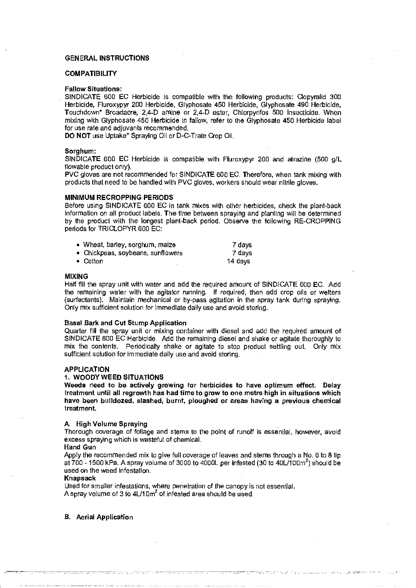#### GENERAL INSTRUCTIONS

#### **COMPATIBILITY**

#### Fallow Situations:

SINDICATE 600 EC Herbicide is compatible with the following products: Oopyralid 300 Herbicide, Fluroxypyr 200 Herbicide, Glyphosate 450 Herbicide, Glyphosate 490 Herbicide, Touchdown\* Broadacre, 2,4-D amine or 2,4-D ester, Chlorpyrifos 500 Insecticide. When mixing with Glyphosate 450 Herbicide in fallow, refer to the Glyphosate 450 Herbicide label for use rate and adjuvants recommended.

DO NOT use Uptake\* Spraying Oil or D-C-Trate Crop Oil.

#### Sorghum:

SINDICATE 600 EC Herbicide is compatible with Fluroxypyr 200 and atrazine (500 giL flowable product only).

PVC gloves are not recommended for SINDICATE 600 EC. Therefore, when tank mixing with products that need to be handled with PVC gloves, workers should wear nitrile gloves.

#### MINIMUM RECROPPING PERIODS

Before using SINDICATE 600 EC in tank mixes with other herbicides, check the plant-back information on all product labels. The time between spraying and planting will be determined by the product with the longest plant-back period. Observe the following RE-CROPPING periods for TRICLOPYR 600 EC:

| • Wheat, barley, sorghum, maize   | 7 days  |
|-----------------------------------|---------|
| • Chickpeas, soybeans, sunflowers | 7 days  |
| $\bullet\,$ Cotton $\,$           | 14 davs |

• Cotton

#### MIXING

Half flll the spray unit with water and add the required amount of SINDICATE 600 EC. Add the remaining water with the agitator running. If required, then add crop oils or welters (surfactants). Maintain mechanical or by-pass agitation in the spray tank during spraying. Only mix sufficient solution for immediate daily use and avoid storing.

#### Basal Bark and Cut Stump Application

Quarter fill the spray unit or mixing container with diesel and add the required amount of SINDICATE 600 EC Herbicide. Add the remaining diesel and shake or agitate thoroughly to mix the contents. Periodically shake or agitate to stop product settling out. Only mix sufficient solution for immediate daily use and avoid storing.

#### **APPLICATION**

#### 1. WOODY WEED SITUATIONS

Weeds need to be actively growing for herbicides to have optimum effect. Delay treatment until all regrowth has had time to grow to one metre high in situations which have been bulldozed, slashed, burnt, ploughed or areas having a previous chemical treatment.

#### A. High Volume Spraying

Thorough coverage of foliage and stems to the point of runoff is essential, however, avoid excess spraying which is wasteful of chemical.

#### Hand Gun

Apply the recommended mix to give full coverage of leaves and stems through a No. 6 to 8 lip at  $700$  - 1500 kPa. A spray volume of 3000 to 4000L per infested (30 to 40L/100m<sup>2</sup>) should be used on the weed infestation.

#### Knapsack

,. ---· . . --------------- ' . . --------··

Used for smaller infestations, where penetration of the canopy is not essential. A spray volume of 3 to  $4L/10m^2$  of infested area should be used.

B. Aerial Application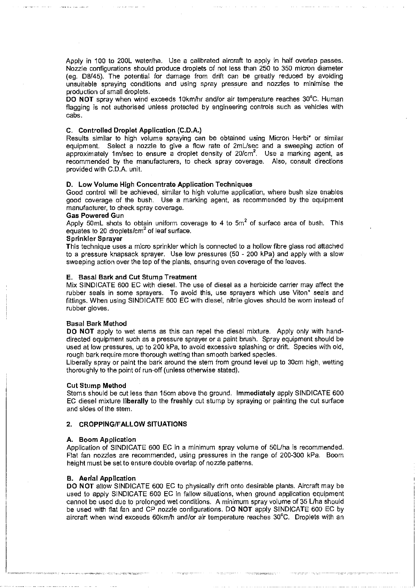Apply in 100 to 200L water/ha. Use a calibrated aircraft to apply in half overlap passes. Nozzle configurations should produce droplets of not less than 250 to 350 micron diameter (eg. 08/45). The potential for damage from drift can be greatly reduced by avoiding unsuitable spraying conditions and using spray pressure and nozzles to minimise the production of small droplets.

DO NOT spray when wind exceeds 10km/hr and/or air temperature reaches 30°C. Human flagging is not authorised unless protected by engineering controls such as vehicles with cabs.

#### C. Controlled Droplet Application (C.D.A.)

Results similar to high volume spraying can be obtained using Micron Herbi\* or similar equipment. Select a nozzle to give a flow rate of 2mUsec and a sweeping action of approximately 1m/sec to ensure a droplet density of  $20/cm^2$ . Use a marking agent, as recommended by the manufacturers, to check spray coverage. Also, consult directions provided with C.D.A. unit.

#### D. Low Volume High Concentrate Application Techniques

Good control will be achieved, similar to high volume application, where bush size enables good coverage of the bush. Use a marking agent. as recommended by the equipment manufacturer, to check spray coverage.

#### Gas Powered Gun

Apply 50mL shots to obtain uniform coverage to 4 to  $5m<sup>2</sup>$  of surface area of bush. This equates to 20 droplets/ $\text{cm}^2$  of leaf surface.

#### Sprinkler Sprayer

This technique uses a micro sprinkler which is connected to a hollow fibre glass rod attached to a pressure knapsack sprayer. Use low pressures (50 - 200 kPa} and apply with a slow sweeping action over the top of the plants, ensuring even coverage of the leaves.

#### E. Basal Bark and Cut Stump Treatment

Mix SINDICATE 600 EC with diesel. The use of diesel as a herbicide carrier may affect the rubber seals in some sprayers. To avoid this, use sprayers which use Viton\* seals and fittings. When using SINDICATE 600 EC with diesel, nitrile gloves should be worn instead of rubber gloves.

#### Basal Bark Method

DO NOT apply to wet stems as this can repel the diesel mixture. Apply only with handdirected equipment such as a pressure sprayer or a paint brush. Spray equipment should be used at low pressures, up to 200 kPa, to avoid excessive splashing or drift. Species with old, rough bark require more thorough wetting than smooth barked species.

Liberally spray or paint the bark around the stem from ground level up to 30cm high, wetting thoroughly to the point of run-off (unless otherwise stated).

#### Cut Stump Method

Stems should be cut less than 15cm above the ground. Immediately apply SINDICATE 600 EC diesel mixture liberally to the freshly cut stump by spraying or painting the cut surface and sides of the stem.

#### 2. CROPPING/FALLOW SITUATIONS

#### A. Boom Application

Application of SINDICATE 600 EC in a minimum spray volume of 50Uha is recommended. Flat fan nozzles are recommended, using pressures in the range of 200-300 kPa. Boom height must be set to ensure double overlap of nozzle patterns.

#### B. Aerial Application

DO NOT allow SINDICATE 600 EC to physically drift onto desirable plants. Aircraft may be used to apply SINDICATE 600 EC in fallow situations, when ground application equipment cannot be used due to prolonged wet conditions. A minimum spray volume of 35 L/ha should be used with flat fan and CP nozzle configurations. DO NOT apply SINDICATE 600 EC by aircraft when wind exceeds 60km/h and/or air temperature reaches 30°C. Droplets with an